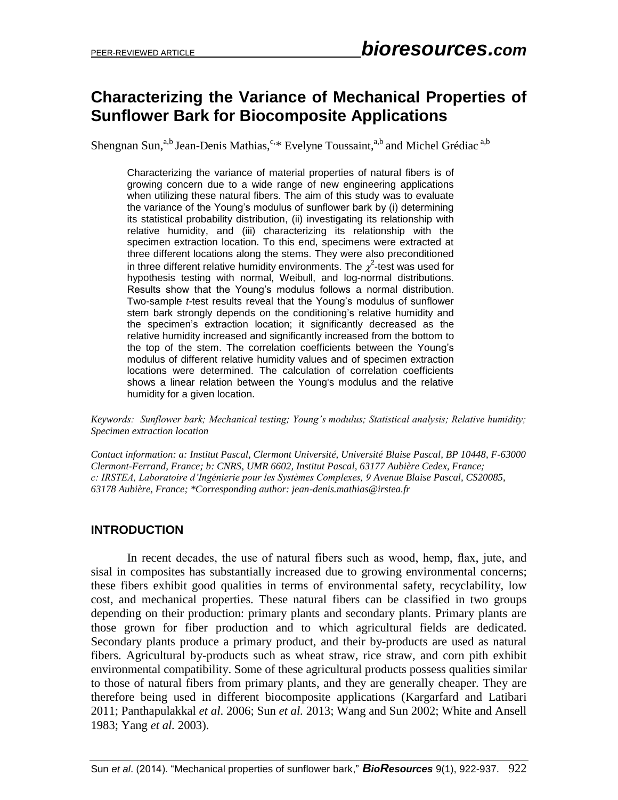# **Characterizing the Variance of Mechanical Properties of Sunflower Bark for Biocomposite Applications**

Shengnan Sun,<sup>a,b</sup> Jean-Denis Mathias,<sup>c,\*</sup> Evelyne Toussaint,<sup>a,b</sup> and Michel Grédiac<sup>a,b</sup>

Characterizing the variance of material properties of natural fibers is of growing concern due to a wide range of new engineering applications when utilizing these natural fibers. The aim of this study was to evaluate the variance of the Young's modulus of sunflower bark by (i) determining its statistical probability distribution, (ii) investigating its relationship with relative humidity, and (iii) characterizing its relationship with the specimen extraction location. To this end, specimens were extracted at three different locations along the stems. They were also preconditioned in three different relative humidity environments. The  $\chi^2$ -test was used for hypothesis testing with normal, Weibull, and log-normal distributions. Results show that the Young's modulus follows a normal distribution. Two-sample *t-*test results reveal that the Young's modulus of sunflower stem bark strongly depends on the conditioning's relative humidity and the specimen's extraction location; it significantly decreased as the relative humidity increased and significantly increased from the bottom to the top of the stem. The correlation coefficients between the Young's modulus of different relative humidity values and of specimen extraction locations were determined. The calculation of correlation coefficients shows a linear relation between the Young's modulus and the relative humidity for a given location.

*Keywords: Sunflower bark; Mechanical testing; Young's modulus; Statistical analysis; Relative humidity; Specimen extraction location* 

*Contact information: a: Institut Pascal, Clermont Université, Université Blaise Pascal, BP 10448, F-63000 Clermont-Ferrand, France; b: CNRS, UMR 6602, Institut Pascal, 63177 Aubière Cedex, France; c: IRSTEA, Laboratoire d'Ingénierie pour les Systèmes Complexes, 9 Avenue Blaise Pascal, CS20085, 63178 Aubière, France; \*Corresponding author: jean-denis.mathias@irstea.fr*

## **INTRODUCTION**

In recent decades, the use of natural fibers such as wood, hemp, flax, jute, and sisal in composites has substantially increased due to growing environmental concerns; these fibers exhibit good qualities in terms of environmental safety, recyclability, low cost, and mechanical properties. These natural fibers can be classified in two groups depending on their production: primary plants and secondary plants. Primary plants are those grown for fiber production and to which agricultural fields are dedicated. Secondary plants produce a primary product, and their by-products are used as natural fibers. Agricultural by-products such as wheat straw, rice straw, and corn pith exhibit environmental compatibility. Some of these agricultural products possess qualities similar to those of natural fibers from primary plants, and they are generally cheaper. They are therefore being used in different biocomposite applications (Kargarfard and Latibari 2011; Panthapulakkal *et al*. 2006; Sun *et al.* 2013; Wang and Sun 2002; White and Ansell 1983; Yang *et al.* 2003).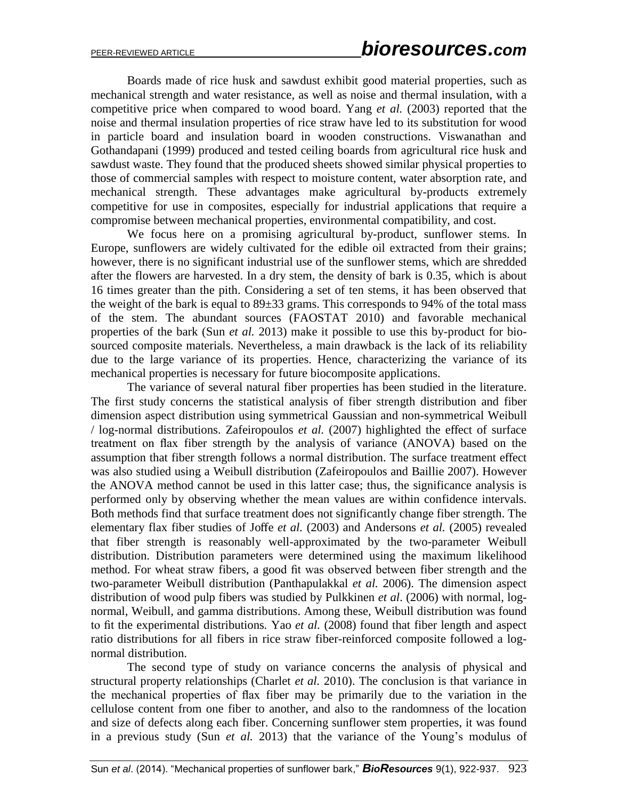Boards made of rice husk and sawdust exhibit good material properties, such as mechanical strength and water resistance, as well as noise and thermal insulation, with a competitive price when compared to wood board. Yang *et al.* (2003) reported that the noise and thermal insulation properties of rice straw have led to its substitution for wood in particle board and insulation board in wooden constructions. Viswanathan and Gothandapani (1999) produced and tested ceiling boards from agricultural rice husk and sawdust waste. They found that the produced sheets showed similar physical properties to those of commercial samples with respect to moisture content, water absorption rate, and mechanical strength. These advantages make agricultural by-products extremely competitive for use in composites, especially for industrial applications that require a compromise between mechanical properties, environmental compatibility, and cost.

We focus here on a promising agricultural by-product, sunflower stems. In Europe, sunflowers are widely cultivated for the edible oil extracted from their grains; however, there is no significant industrial use of the sunflower stems, which are shredded after the flowers are harvested. In a dry stem, the density of bark is 0.35, which is about 16 times greater than the pith. Considering a set of ten stems, it has been observed that the weight of the bark is equal to 89±33 grams. This corresponds to 94% of the total mass of the stem. The abundant sources (FAOSTAT 2010) and favorable mechanical properties of the bark (Sun *et al.* 2013) make it possible to use this by-product for biosourced composite materials. Nevertheless, a main drawback is the lack of its reliability due to the large variance of its properties. Hence, characterizing the variance of its mechanical properties is necessary for future biocomposite applications.

The variance of several natural fiber properties has been studied in the literature. The first study concerns the statistical analysis of fiber strength distribution and fiber dimension aspect distribution using symmetrical Gaussian and non-symmetrical Weibull / log-normal distributions. Zafeiropoulos *et al.* (2007) highlighted the effect of surface treatment on flax fiber strength by the analysis of variance (ANOVA) based on the assumption that fiber strength follows a normal distribution. The surface treatment effect was also studied using a Weibull distribution (Zafeiropoulos and Baillie 2007). However the ANOVA method cannot be used in this latter case; thus, the significance analysis is performed only by observing whether the mean values are within confidence intervals. Both methods find that surface treatment does not significantly change fiber strength. The elementary flax fiber studies of Joffe *et al.* (2003) and Andersons *et al.* (2005) revealed that fiber strength is reasonably well-approximated by the two-parameter Weibull distribution. Distribution parameters were determined using the maximum likelihood method. For wheat straw fibers, a good fit was observed between fiber strength and the two-parameter Weibull distribution (Panthapulakkal *et al.* 2006). The dimension aspect distribution of wood pulp fibers was studied by Pulkkinen *et al*. (2006) with normal, lognormal, Weibull, and gamma distributions. Among these, Weibull distribution was found to fit the experimental distributions*.* Yao *et al.* (2008) found that fiber length and aspect ratio distributions for all fibers in rice straw fiber-reinforced composite followed a lognormal distribution.

The second type of study on variance concerns the analysis of physical and structural property relationships (Charlet *et al.* 2010). The conclusion is that variance in the mechanical properties of flax fiber may be primarily due to the variation in the cellulose content from one fiber to another, and also to the randomness of the location and size of defects along each fiber. Concerning sunflower stem properties, it was found in a previous study (Sun *et al.* 2013) that the variance of the Young's modulus of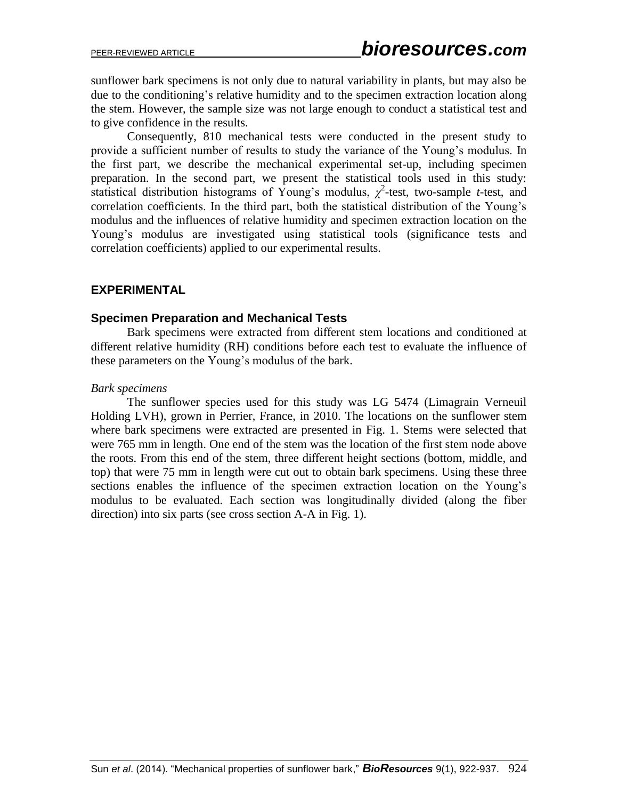sunflower bark specimens is not only due to natural variability in plants, but may also be due to the conditioning's relative humidity and to the specimen extraction location along the stem. However, the sample size was not large enough to conduct a statistical test and to give confidence in the results.

Consequently, 810 mechanical tests were conducted in the present study to provide a sufficient number of results to study the variance of the Young's modulus. In the first part, we describe the mechanical experimental set-up, including specimen preparation. In the second part, we present the statistical tools used in this study: statistical distribution histograms of Young's modulus,  $\chi^2$ -test, two-sample *t*-test, and correlation coefficients. In the third part, both the statistical distribution of the Young's modulus and the influences of relative humidity and specimen extraction location on the Young's modulus are investigated using statistical tools (significance tests and correlation coefficients) applied to our experimental results.

## **EXPERIMENTAL**

## **Specimen Preparation and Mechanical Tests**

Bark specimens were extracted from different stem locations and conditioned at different relative humidity (RH) conditions before each test to evaluate the influence of these parameters on the Young's modulus of the bark.

## *Bark specimens*

The sunflower species used for this study was LG 5474 (Limagrain Verneuil Holding LVH), grown in Perrier, France, in 2010. The locations on the sunflower stem where bark specimens were extracted are presented in Fig. 1. Stems were selected that were 765 mm in length. One end of the stem was the location of the first stem node above the roots. From this end of the stem, three different height sections (bottom, middle, and top) that were 75 mm in length were cut out to obtain bark specimens. Using these three sections enables the influence of the specimen extraction location on the Young's modulus to be evaluated. Each section was longitudinally divided (along the fiber direction) into six parts (see cross section A-A in Fig. 1).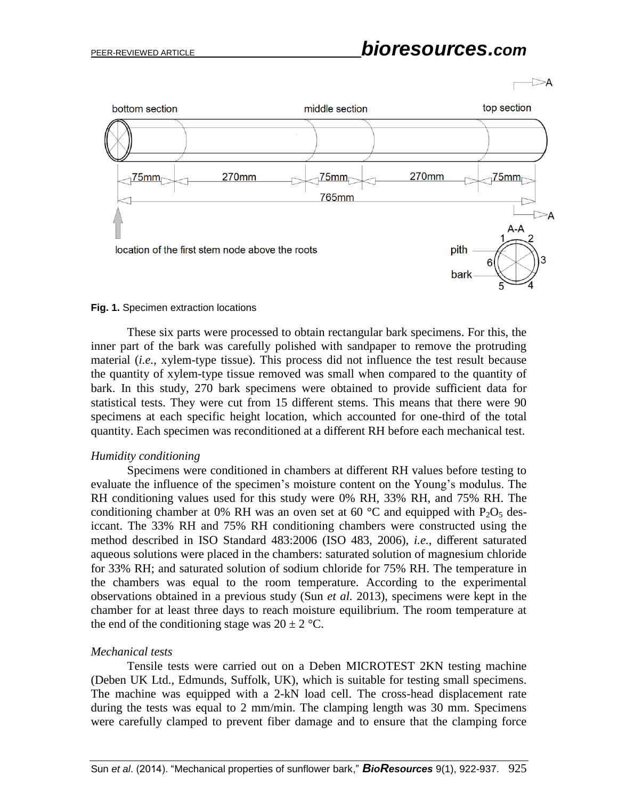

### **Fig. 1.** Specimen extraction locations

These six parts were processed to obtain rectangular bark specimens. For this, the inner part of the bark was carefully polished with sandpaper to remove the protruding material (*i.e.,* xylem-type tissue). This process did not influence the test result because the quantity of xylem-type tissue removed was small when compared to the quantity of bark. In this study, 270 bark specimens were obtained to provide sufficient data for statistical tests. They were cut from 15 different stems. This means that there were 90 specimens at each specific height location, which accounted for one-third of the total quantity. Each specimen was reconditioned at a different RH before each mechanical test.

### *Humidity conditioning*

Specimens were conditioned in chambers at different RH values before testing to evaluate the influence of the specimen's moisture content on the Young's modulus. The RH conditioning values used for this study were 0% RH, 33% RH, and 75% RH. The conditioning chamber at 0% RH was an oven set at 60  $^{\circ}$ C and equipped with P<sub>2</sub>O<sub>5</sub> desiccant. The 33% RH and 75% RH conditioning chambers were constructed using the method described in ISO Standard 483:2006 (ISO 483, 2006), *i.e.*, different saturated aqueous solutions were placed in the chambers: saturated solution of magnesium chloride for 33% RH; and saturated solution of sodium chloride for 75% RH. The temperature in the chambers was equal to the room temperature. According to the experimental observations obtained in a previous study (Sun *et al.* 2013), specimens were kept in the chamber for at least three days to reach moisture equilibrium. The room temperature at the end of the conditioning stage was  $20 \pm 2$  °C.

### *Mechanical tests*

Tensile tests were carried out on a Deben MICROTEST 2KN testing machine (Deben UK Ltd., Edmunds, Suffolk, UK), which is suitable for testing small specimens. The machine was equipped with a 2-kN load cell. The cross-head displacement rate during the tests was equal to 2 mm/min. The clamping length was 30 mm. Specimens were carefully clamped to prevent fiber damage and to ensure that the clamping force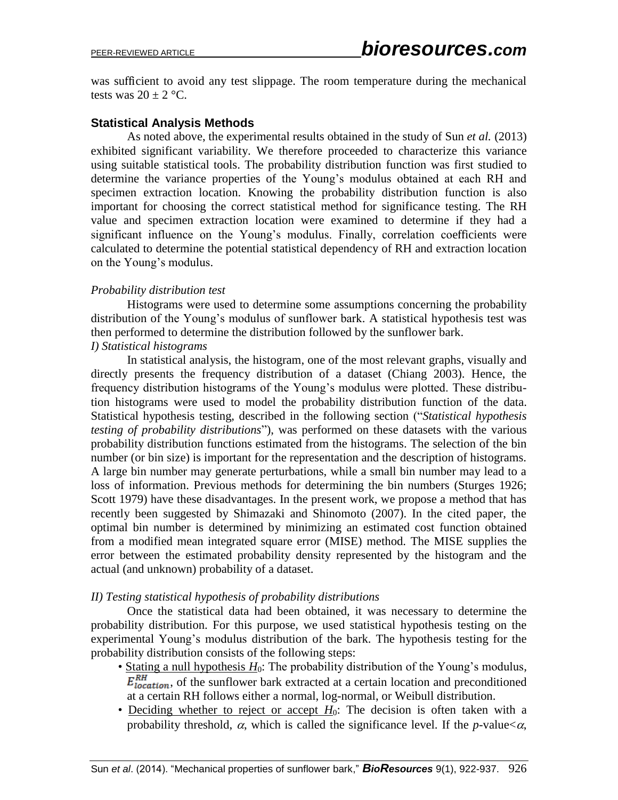was sufficient to avoid any test slippage. The room temperature during the mechanical tests was  $20 \pm 2$  °C.

# **Statistical Analysis Methods**

As noted above, the experimental results obtained in the study of Sun *et al.* (2013) exhibited significant variability. We therefore proceeded to characterize this variance using suitable statistical tools. The probability distribution function was first studied to determine the variance properties of the Young's modulus obtained at each RH and specimen extraction location. Knowing the probability distribution function is also important for choosing the correct statistical method for significance testing. The RH value and specimen extraction location were examined to determine if they had a significant influence on the Young's modulus. Finally, correlation coefficients were calculated to determine the potential statistical dependency of RH and extraction location on the Young's modulus.

## *Probability distribution test*

Histograms were used to determine some assumptions concerning the probability distribution of the Young's modulus of sunflower bark. A statistical hypothesis test was then performed to determine the distribution followed by the sunflower bark. *I) Statistical histograms*

In statistical analysis, the histogram, one of the most relevant graphs, visually and directly presents the frequency distribution of a dataset (Chiang 2003). Hence, the frequency distribution histograms of the Young's modulus were plotted. These distribution histograms were used to model the probability distribution function of the data. Statistical hypothesis testing, described in the following section ("*Statistical hypothesis testing of probability distributions*"), was performed on these datasets with the various probability distribution functions estimated from the histograms. The selection of the bin number (or bin size) is important for the representation and the description of histograms. A large bin number may generate perturbations, while a small bin number may lead to a loss of information. Previous methods for determining the bin numbers (Sturges 1926; Scott 1979) have these disadvantages. In the present work, we propose a method that has recently been suggested by Shimazaki and Shinomoto (2007). In the cited paper, the optimal bin number is determined by minimizing an estimated cost function obtained from a modified mean integrated square error (MISE) method. The MISE supplies the error between the estimated probability density represented by the histogram and the actual (and unknown) probability of a dataset.

## *II) Testing statistical hypothesis of probability distributions*

Once the statistical data had been obtained, it was necessary to determine the probability distribution. For this purpose, we used statistical hypothesis testing on the experimental Young's modulus distribution of the bark. The hypothesis testing for the probability distribution consists of the following steps:

- Stating a null hypothesis  $H_0$ : The probability distribution of the Young's modulus,  $E_{location}^{RH}$ , of the sunflower bark extracted at a certain location and preconditioned at a certain RH follows either a normal, log-normal, or Weibull distribution.
- Deciding whether to reject or accept  $H_0$ : The decision is often taken with a probability threshold,  $\alpha$ , which is called the significance level. If the *p*-value $<\alpha$ ,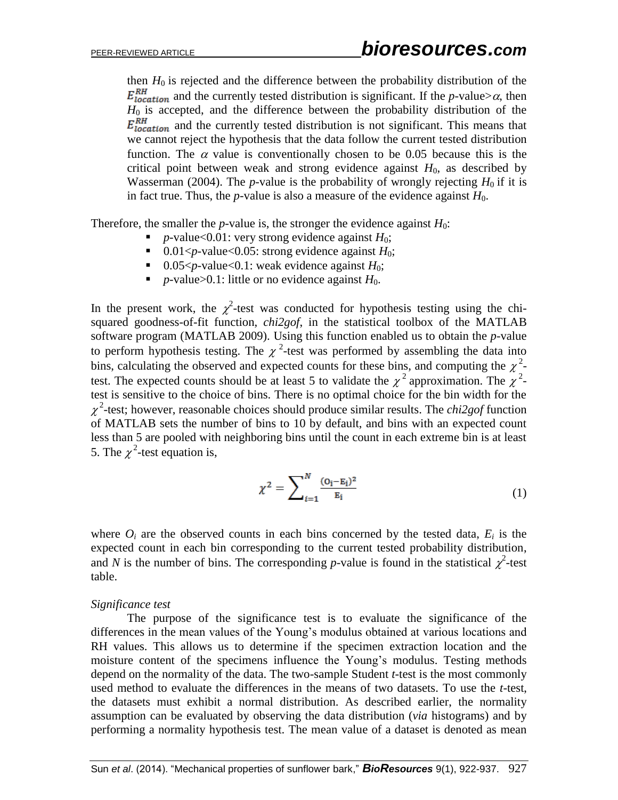then  $H_0$  is rejected and the difference between the probability distribution of the  $E_{location}^{RH}$  and the currently tested distribution is significant. If the *p*-value> $\alpha$ , then  $H_0$  is accepted, and the difference between the probability distribution of the  $E_{location}^{RH}$  and the currently tested distribution is not significant. This means that we cannot reject the hypothesis that the data follow the current tested distribution function. The  $\alpha$  value is conventionally chosen to be 0.05 because this is the critical point between weak and strong evidence against  $H_0$ , as described by Wasserman (2004). The *p*-value is the probability of wrongly rejecting  $H_0$  if it is in fact true. Thus, the *p*-value is also a measure of the evidence against  $H_0$ .

Therefore, the smaller the *p*-value is, the stronger the evidence against  $H_0$ :

- *p*-value<0.01: very strong evidence against  $H_0$ ;
- $\blacksquare$  0.01<*p*-value<0.05: strong evidence against *H*<sub>0</sub>;
- 0.05  $\lt p$ -value  $\lt 0.1$ : weak evidence against  $H_0$ ;
- $\blacksquare$  *p*-value>0.1: little or no evidence against *H*<sub>0</sub>.

In the present work, the  $\chi^2$ -test was conducted for hypothesis testing using the chisquared goodness-of-fit function, *chi2gof*, in the statistical toolbox of the MATLAB software program (MATLAB 2009). Using this function enabled us to obtain the *p-*value to perform hypothesis testing. The  $\chi^2$ -test was performed by assembling the data into bins, calculating the observed and expected counts for these bins, and computing the  $\chi^2$ test. The expected counts should be at least 5 to validate the  $\chi^2$  approximation. The  $\chi^2$ test is sensitive to the choice of bins. There is no optimal choice for the bin width for the  $\chi^2$ -test; however, reasonable choices should produce similar results. The *chi2gof* function of MATLAB sets the number of bins to 10 by default, and bins with an expected count less than 5 are pooled with neighboring bins until the count in each extreme bin is at least 5. The  $\chi^2$ -test equation is,

$$
\chi^2 = \sum_{i=1}^{N} \frac{(o_i - E_i)^2}{E_i}
$$
 (1)

where  $O_i$  are the observed counts in each bins concerned by the tested data,  $E_i$  is the expected count in each bin corresponding to the current tested probability distribution, and *N* is the number of bins. The corresponding *p*-value is found in the statistical  $\chi^2$ -test table.

### *Significance test*

The purpose of the significance test is to evaluate the significance of the differences in the mean values of the Young's modulus obtained at various locations and RH values. This allows us to determine if the specimen extraction location and the moisture content of the specimens influence the Young's modulus. Testing methods depend on the normality of the data. The two-sample Student *t-*test is the most commonly used method to evaluate the differences in the means of two datasets. To use the *t*-test, the datasets must exhibit a normal distribution. As described earlier, the normality assumption can be evaluated by observing the data distribution (*via* histograms) and by performing a normality hypothesis test. The mean value of a dataset is denoted as mean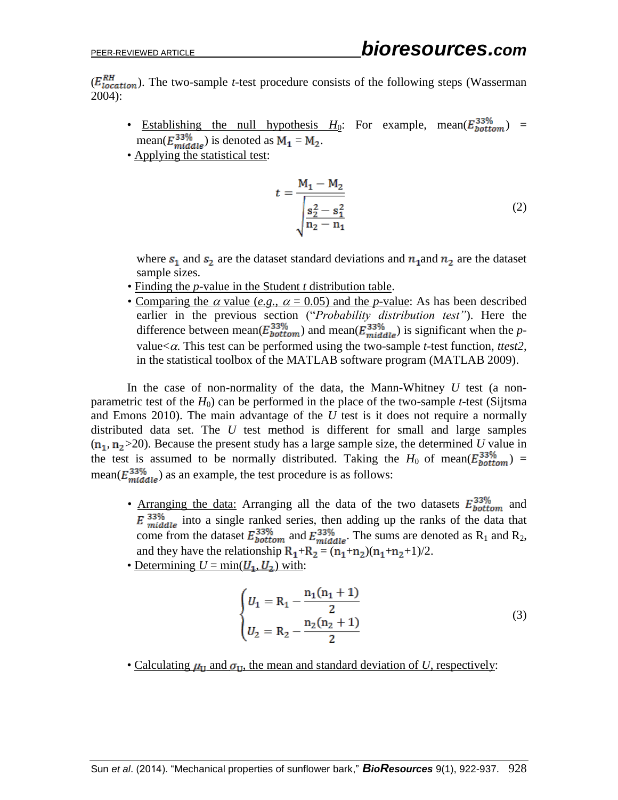$(E_{location}^{RH})$ . The two-sample *t*-test procedure consists of the following steps (Wasserman 2004):

- Establishing the null hypothesis  $H_0$ : For example, mean( $E_{bottom}^{33\%}$ ) = mean( $E_{middle}^{33\%}$ ) is denoted as  $M_1 = M_2$ .
- Applying the statistical test:

$$
t = \frac{M_1 - M_2}{\sqrt{\frac{s_2^2 - s_1^2}{n_2 - n_1}}} \tag{2}
$$

where  $s_1$  and  $s_2$  are the dataset standard deviations and  $n_1$  and  $n_2$  are the dataset sample sizes.

- Finding the *p-*value in the Student *t* distribution table.
- Comparing the  $\alpha$  value (*e.g.*,  $\alpha = 0.05$ ) and the *p*-value: As has been described earlier in the previous section ("*Probability distribution test"*). Here the difference between mean( $E_{bottom}^{33\%}$ ) and mean( $E_{middle}^{33\%}$ ) is significant when the *p*value $<\alpha$ . This test can be performed using the two-sample *t*-test function, *ttest*2, in the statistical toolbox of the MATLAB software program (MATLAB 2009).

In the case of non-normality of the data, the Mann-Whitney *U* test (a nonparametric test of the  $H_0$ ) can be performed in the place of the two-sample *t*-test (Sijtsma and Emons 2010). The main advantage of the *U* test is it does not require a normally distributed data set. The *U* test method is different for small and large samples  $(n_1, n_2 > 20)$ . Because the present study has a large sample size, the determined *U* value in the test is assumed to be normally distributed. Taking the  $H_0$  of mean( $E_{bottom}^{33\%}$ ) = mean( $E_{middle}^{33\%}$ ) as an example, the test procedure is as follows:

- Arranging the data: Arranging all the data of the two datasets  $E_{bottom}^{33\%}$  and  $\overline{E}$   $\frac{33\%}{middle}$  into a single ranked series, then adding up the ranks of the data that come from the dataset  $E_{bottom}^{33\%}$  and  $E_{middle}^{33\%}$ . The sums are denoted as R<sub>1</sub> and R<sub>2</sub>, and they have the relationship  $R_1 + R_2 = (n_1 + n_2)(n_1 + n_2 + 1)/2$ .
- Determining  $U = min(\underline{U_1}, \underline{U_2})$  with:

$$
\begin{cases}\nU_1 = R_1 - \frac{n_1(n_1 + 1)}{2} \\
U_2 = R_2 - \frac{n_2(n_2 + 1)}{2}\n\end{cases}
$$
\n(3)

• Calculating  $\mu_{\text{II}}$  and  $\sigma_{\text{II}}$ , the mean and standard deviation of *U*, respectively: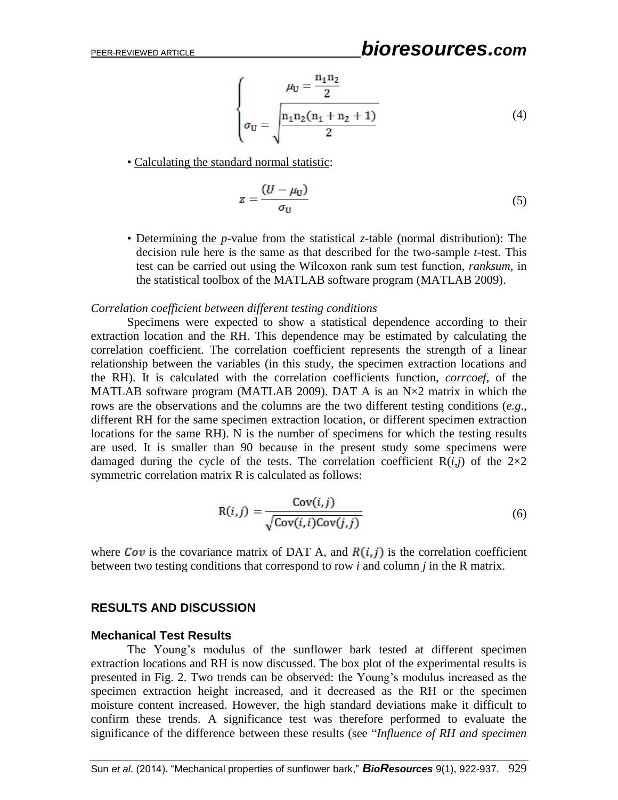# PEER-REVIEWED ARTICLE *bioresources.com*

$$
\mu_{\mathbf{U}} = \frac{n_1 n_2}{2}
$$
\n
$$
\sigma_{\mathbf{U}} = \sqrt{\frac{n_1 n_2 (n_1 + n_2 + 1)}{2}}
$$
\n(4)

• Calculating the standard normal statistic:

$$
z = \frac{(U - \mu_U)}{\sigma_U} \tag{5}
$$

• Determining the *p-*value from the statistical *z*-table (normal distribution): The decision rule here is the same as that described for the two-sample *t-*test. This test can be carried out using the Wilcoxon rank sum test function, *ranksum*, in the statistical toolbox of the MATLAB software program (MATLAB 2009).

### *Correlation coefficient between different testing conditions*

Specimens were expected to show a statistical dependence according to their extraction location and the RH. This dependence may be estimated by calculating the correlation coefficient. The correlation coefficient represents the strength of a linear relationship between the variables (in this study, the specimen extraction locations and the RH). It is calculated with the correlation coefficients function, *corrcoef*, of the MATLAB software program (MATLAB 2009). DAT A is an  $N \times 2$  matrix in which the rows are the observations and the columns are the two different testing conditions (*e.g*., different RH for the same specimen extraction location, or different specimen extraction locations for the same RH). N is the number of specimens for which the testing results are used. It is smaller than 90 because in the present study some specimens were damaged during the cycle of the tests. The correlation coefficient  $R(i,j)$  of the  $2\times 2$ symmetric correlation matrix R is calculated as follows:

$$
R(i,j) = \frac{Cov(i,j)}{\sqrt{Cov(i,i)Cov(j,j)}}
$$
(6)

where  $Cov$  is the covariance matrix of DAT A, and  $R(i, j)$  is the correlation coefficient between two testing conditions that correspond to row *i* and column *j* in the R matrix.

## **RESULTS AND DISCUSSION**

### **Mechanical Test Results**

The Young's modulus of the sunflower bark tested at different specimen extraction locations and RH is now discussed. The box plot of the experimental results is presented in Fig. 2. Two trends can be observed: the Young's modulus increased as the specimen extraction height increased, and it decreased as the RH or the specimen moisture content increased. However, the high standard deviations make it difficult to confirm these trends. A significance test was therefore performed to evaluate the significance of the difference between these results (see "*Influence of RH and specimen*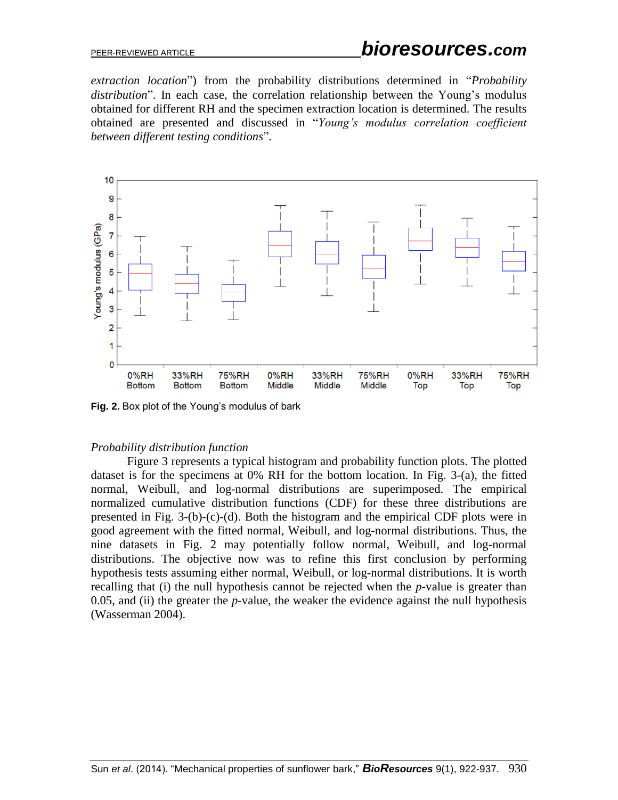*extraction location*") from the probability distributions determined in "*Probability distribution*". In each case, the correlation relationship between the Young's modulus obtained for different RH and the specimen extraction location is determined. The results obtained are presented and discussed in "*Young's modulus correlation coefficient between different testing conditions*".



**Fig. 2.** Box plot of the Young's modulus of bark

## *Probability distribution function*

Figure 3 represents a typical histogram and probability function plots. The plotted dataset is for the specimens at 0% RH for the bottom location. In Fig. 3-(a), the fitted normal, Weibull, and log-normal distributions are superimposed. The empirical normalized cumulative distribution functions (CDF) for these three distributions are presented in Fig. 3-(b)-(c)-(d). Both the histogram and the empirical CDF plots were in good agreement with the fitted normal, Weibull, and log-normal distributions. Thus, the nine datasets in Fig. 2 may potentially follow normal, Weibull, and log-normal distributions. The objective now was to refine this first conclusion by performing hypothesis tests assuming either normal, Weibull, or log-normal distributions. It is worth recalling that (i) the null hypothesis cannot be rejected when the *p-*value is greater than 0.05, and (ii) the greater the *p-*value, the weaker the evidence against the null hypothesis (Wasserman 2004).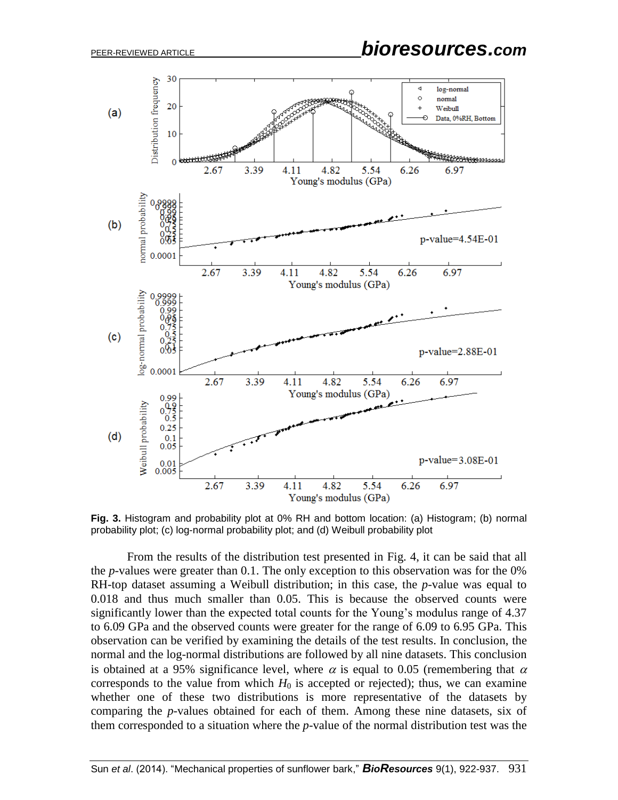PEER-REVIEWED ARTICLE *bioresources.com*



**Fig. 3.** Histogram and probability plot at 0% RH and bottom location: (a) Histogram; (b) normal probability plot; (c) log-normal probability plot; and (d) Weibull probability plot

From the results of the distribution test presented in Fig. 4, it can be said that all the *p-*values were greater than 0.1. The only exception to this observation was for the 0% RH-top dataset assuming a Weibull distribution; in this case, the *p-*value was equal to 0.018 and thus much smaller than 0.05. This is because the observed counts were significantly lower than the expected total counts for the Young's modulus range of 4.37 to 6.09 GPa and the observed counts were greater for the range of 6.09 to 6.95 GPa. This observation can be verified by examining the details of the test results. In conclusion, the normal and the log-normal distributions are followed by all nine datasets. This conclusion is obtained at a 95% significance level, where  $\alpha$  is equal to 0.05 (remembering that  $\alpha$ corresponds to the value from which  $H_0$  is accepted or rejected); thus, we can examine whether one of these two distributions is more representative of the datasets by comparing the *p-*values obtained for each of them. Among these nine datasets, six of them corresponded to a situation where the *p-*value of the normal distribution test was the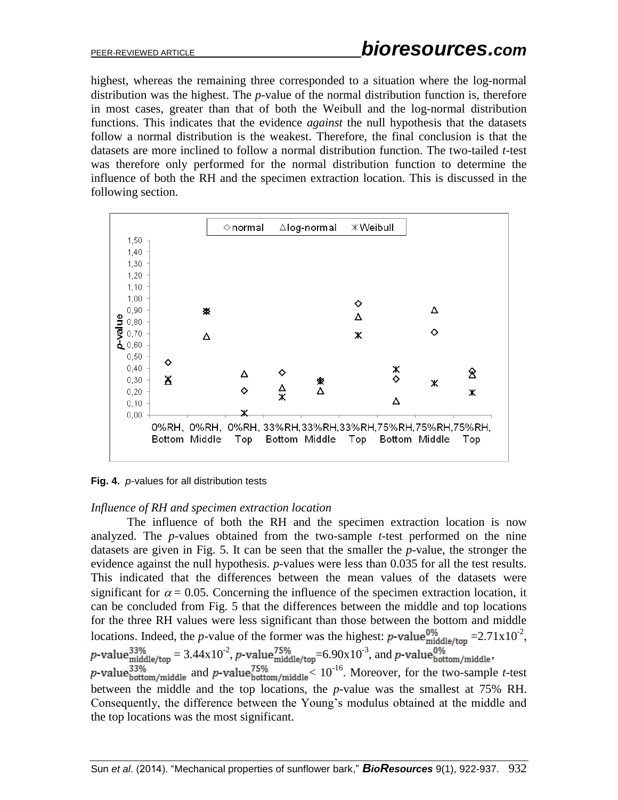highest, whereas the remaining three corresponded to a situation where the log-normal distribution was the highest. The *p-*value of the normal distribution function is, therefore in most cases, greater than that of both the Weibull and the log-normal distribution functions. This indicates that the evidence *against* the null hypothesis that the datasets follow a normal distribution is the weakest. Therefore, the final conclusion is that the datasets are more inclined to follow a normal distribution function. The two-tailed *t*-test was therefore only performed for the normal distribution function to determine the influence of both the RH and the specimen extraction location. This is discussed in the following section.



**Fig. 4.** *p-*values for all distribution tests

## *Influence of RH and specimen extraction location*

The influence of both the RH and the specimen extraction location is now analyzed. The *p-*values obtained from the two-sample *t-*test performed on the nine datasets are given in Fig. 5. It can be seen that the smaller the *p-*value, the stronger the evidence against the null hypothesis. *p-*values were less than 0.035 for all the test results. This indicated that the differences between the mean values of the datasets were significant for  $\alpha = 0.05$ . Concerning the influence of the specimen extraction location, it can be concluded from Fig. 5 that the differences between the middle and top locations for the three RH values were less significant than those between the bottom and middle locations. Indeed, the *p*-value of the former was the highest: *p*-value<sup>0%</sup>  $= 2.71 \times 10^{-2}$ ,  $= 3.44 \times 10^{-2}$ , p-value $^{75\%}_{\text{middle/ton}} = 6.90 \times 10^{-3}$ , and p-value $^{0\%}_{\text{bottom/middle}}$ and *p*-value<sup>75%</sup> and  $\mu$ -value<sup>75%</sup>  $\frac{10^{-16}}{2}$ . Moreover, for the two-sample *t*-test between the middle and the top locations, the *p-*value was the smallest at 75% RH. Consequently, the difference between the Young's modulus obtained at the middle and the top locations was the most significant.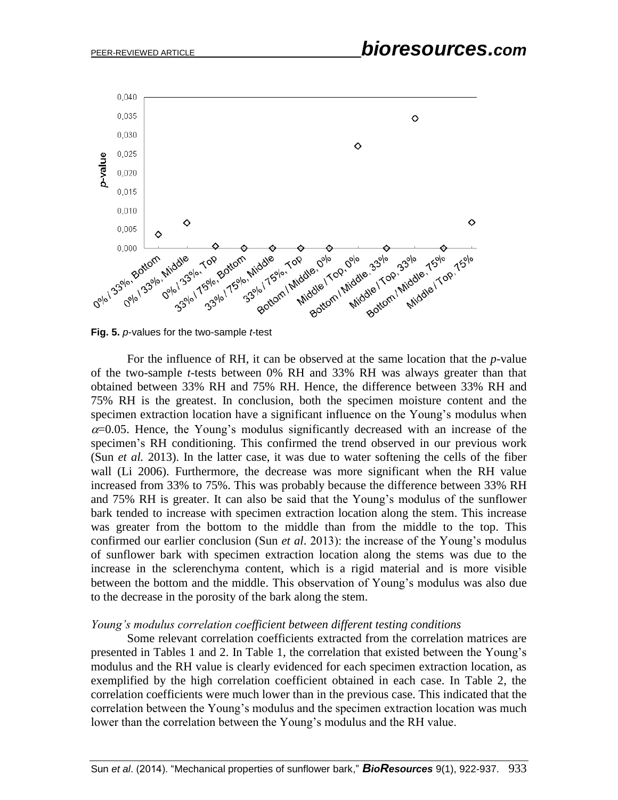

**Fig. 5.** *p-*values for the two-sample *t-*test

For the influence of RH, it can be observed at the same location that the *p-*value of the two-sample *t-*tests between 0% RH and 33% RH was always greater than that obtained between 33% RH and 75% RH. Hence, the difference between 33% RH and 75% RH is the greatest. In conclusion, both the specimen moisture content and the specimen extraction location have a significant influence on the Young's modulus when  $\alpha$ =0.05. Hence, the Young's modulus significantly decreased with an increase of the specimen's RH conditioning. This confirmed the trend observed in our previous work (Sun *et al.* 2013). In the latter case, it was due to water softening the cells of the fiber wall (Li 2006). Furthermore, the decrease was more significant when the RH value increased from 33% to 75%. This was probably because the difference between 33% RH and 75% RH is greater. It can also be said that the Young's modulus of the sunflower bark tended to increase with specimen extraction location along the stem. This increase was greater from the bottom to the middle than from the middle to the top. This confirmed our earlier conclusion (Sun *et al*. 2013): the increase of the Young's modulus of sunflower bark with specimen extraction location along the stems was due to the increase in the sclerenchyma content, which is a rigid material and is more visible between the bottom and the middle. This observation of Young's modulus was also due to the decrease in the porosity of the bark along the stem.

### *Young's modulus correlation coefficient between different testing conditions*

Some relevant correlation coefficients extracted from the correlation matrices are presented in Tables 1 and 2. In Table 1, the correlation that existed between the Young's modulus and the RH value is clearly evidenced for each specimen extraction location, as exemplified by the high correlation coefficient obtained in each case. In Table 2, the correlation coefficients were much lower than in the previous case. This indicated that the correlation between the Young's modulus and the specimen extraction location was much lower than the correlation between the Young's modulus and the RH value.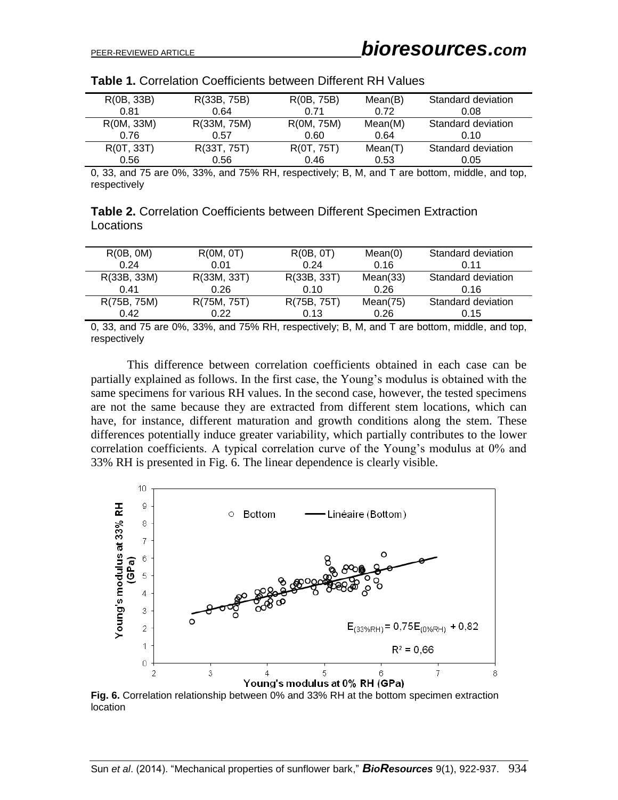| R(0B, 33B) | R(33B, 75B) | R(0B, 75B) | Mean(B) | Standard deviation |
|------------|-------------|------------|---------|--------------------|
| 0.81       | 0.64        | 0.71       | 0.72    | 0.08               |
| R(0M, 33M) | R(33M, 75M) | R(0M, 75M) | Mean(M) | Standard deviation |
| 0.76       | 0.57        | 0.60       | 0.64    | 0.10               |
| R(0T, 33T) | R(33T, 75T) | R(0T, 75T) | Mean(T) | Standard deviation |
| 0.56       | 0.56        | 0.46       | 0.53    | 0.05               |

0, 33, and 75 are 0%, 33%, and 75% RH, respectively; B, M, and T are bottom, middle, and top, respectively

**Table 2.** Correlation Coefficients between Different Specimen Extraction Locations

| R(0B, 0M)   | R(0M, 0T)   | R(0B, 0T)   | Mean(0)     | Standard deviation |
|-------------|-------------|-------------|-------------|--------------------|
| 0.24        | 0.01        | 0.24        | 0.16        | 0.11               |
| R(33B, 33M) | R(33M, 33T) | R(33B, 33T) | Mean(33)    | Standard deviation |
| 0.41        | 0.26        | 0.10        | 0.26        | 0.16               |
| R(75B, 75M) | R(75M, 75T) | R(75B, 75T) | Mean $(75)$ | Standard deviation |
| 0.42        | 0.22        | 0.13        | 0.26        | 0.15               |

0, 33, and 75 are 0%, 33%, and 75% RH, respectively; B, M, and T are bottom, middle, and top, respectively

This difference between correlation coefficients obtained in each case can be partially explained as follows. In the first case, the Young's modulus is obtained with the same specimens for various RH values. In the second case, however, the tested specimens are not the same because they are extracted from different stem locations, which can have, for instance, different maturation and growth conditions along the stem. These differences potentially induce greater variability, which partially contributes to the lower correlation coefficients. A typical correlation curve of the Young's modulus at 0% and 33% RH is presented in Fig. 6. The linear dependence is clearly visible.



**Fig. 6.** Correlation relationship between 0% and 33% RH at the bottom specimen extraction location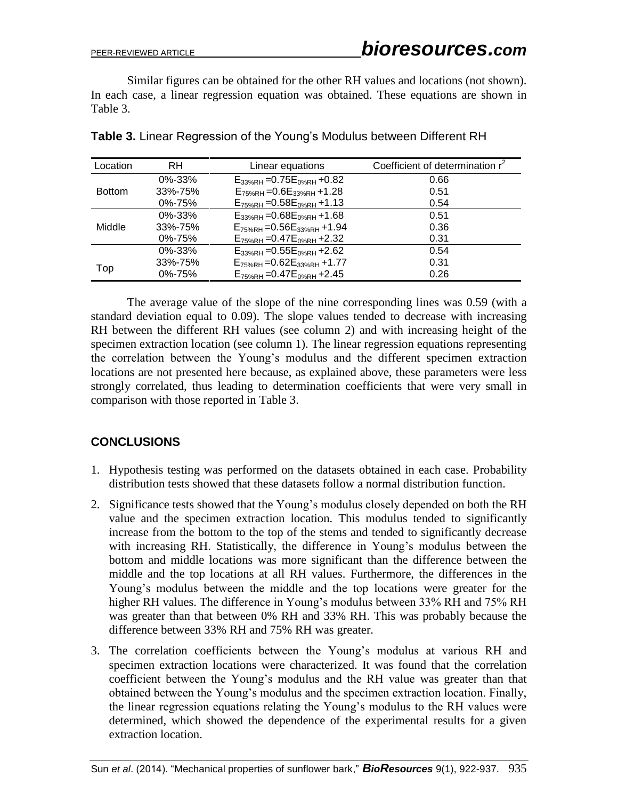Similar figures can be obtained for the other RH values and locations (not shown). In each case, a linear regression equation was obtained. These equations are shown in Table 3.

| Location      | RH           | Linear equations                        | Coefficient of determination r <sup>2</sup> |
|---------------|--------------|-----------------------------------------|---------------------------------------------|
| <b>Bottom</b> | $0\% - 33\%$ | $E_{33%RH} = 0.75E_{0%RH} + 0.82$       | 0.66                                        |
|               | 33%-75%      | $E_{75%RH} = 0.6E_{33%RH} + 1.28$       | 0.51                                        |
|               | 0%-75%       | $E_{75\%RH}$ = 0.58 $E_{0\%RH}$ + 1.13  | 0.54                                        |
| Middle        | $0\% - 33\%$ | $E_{33%RH} = 0.68E_{0%RH} + 1.68$       | 0.51                                        |
|               | 33%-75%      | $E_{75\%RH}$ = 0.56 $E_{33\%RH}$ + 1.94 | 0.36                                        |
|               | $0\% - 75\%$ | $E_{75\%RH}$ = 0.47 $E_{0\%RH}$ + 2.32  | 0.31                                        |
|               | $0\% - 33\%$ | $E_{33%RH} = 0.55E_{0%RH} + 2.62$       | 0.54                                        |
| Top           | 33%-75%      | $E_{75\%RH}$ = 0.62 $E_{33\%RH}$ + 1.77 | 0.31                                        |
|               | 0%-75%       | $E_{75\%RH}$ = 0.47 $E_{0\%RH}$ + 2.45  | 0.26                                        |

**Table 3.** Linear Regression of the Young's Modulus between Different RH

The average value of the slope of the nine corresponding lines was 0.59 (with a standard deviation equal to 0.09). The slope values tended to decrease with increasing RH between the different RH values (see column 2) and with increasing height of the specimen extraction location (see column 1). The linear regression equations representing the correlation between the Young's modulus and the different specimen extraction locations are not presented here because, as explained above, these parameters were less strongly correlated, thus leading to determination coefficients that were very small in comparison with those reported in Table 3.

# **CONCLUSIONS**

- 1. Hypothesis testing was performed on the datasets obtained in each case. Probability distribution tests showed that these datasets follow a normal distribution function.
- 2. Significance tests showed that the Young's modulus closely depended on both the RH value and the specimen extraction location. This modulus tended to significantly increase from the bottom to the top of the stems and tended to significantly decrease with increasing RH. Statistically, the difference in Young's modulus between the bottom and middle locations was more significant than the difference between the middle and the top locations at all RH values. Furthermore, the differences in the Young's modulus between the middle and the top locations were greater for the higher RH values. The difference in Young's modulus between 33% RH and 75% RH was greater than that between 0% RH and 33% RH. This was probably because the difference between 33% RH and 75% RH was greater.
- 3. The correlation coefficients between the Young's modulus at various RH and specimen extraction locations were characterized. It was found that the correlation coefficient between the Young's modulus and the RH value was greater than that obtained between the Young's modulus and the specimen extraction location. Finally, the linear regression equations relating the Young's modulus to the RH values were determined, which showed the dependence of the experimental results for a given extraction location.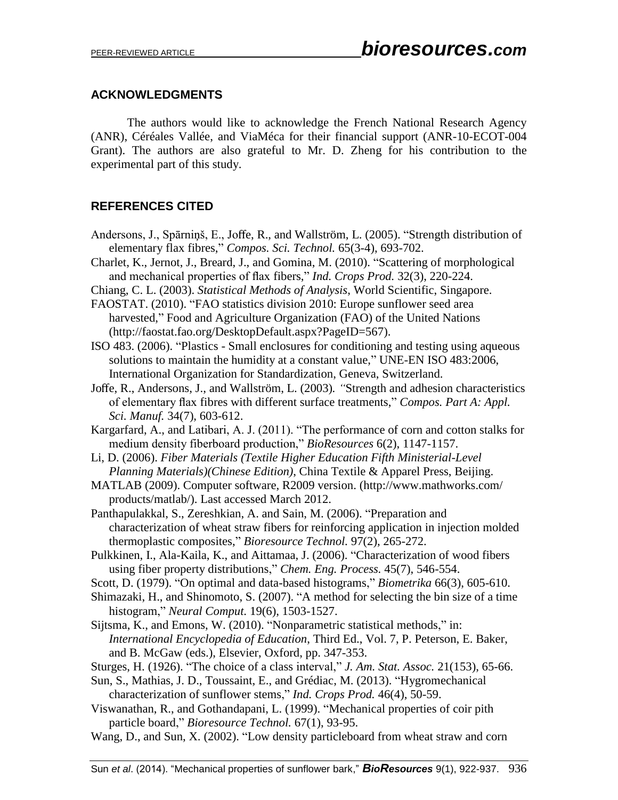## **ACKNOWLEDGMENTS**

The authors would like to acknowledge the French National Research Agency (ANR), Céréales Vallée, and ViaMéca for their financial support (ANR-10-ECOT-004 Grant). The authors are also grateful to Mr. D. Zheng for his contribution to the experimental part of this study.

# **REFERENCES CITED**

- Andersons, J., Spārniņš, E., Joffe, R., and Wallström, L. (2005). "Strength distribution of elementary flax fibres," *Compos. Sci. Technol.* 65(3-4), 693-702.
- Charlet, K., Jernot, J., Breard, J., and Gomina, M. (2010). "Scattering of morphological and mechanical properties of flax fibers," *Ind. Crops Prod.* 32(3), 220-224.
- Chiang, C. L. (2003). *Statistical Methods of Analysis*, World Scientific, Singapore.
- FAOSTAT. (2010). "FAO statistics division 2010: Europe sunflower seed area harvested," Food and Agriculture Organization (FAO) of the United Nations (http://faostat.fao.org/DesktopDefault.aspx?PageID=567).
- ISO 483. (2006). "Plastics Small enclosures for conditioning and testing using aqueous solutions to maintain the humidity at a constant value," UNE-EN ISO 483:2006, International Organization for Standardization, Geneva, Switzerland.
- Joffe, R., Andersons, J., and Wallström, L. (2003)*. "*Strength and adhesion characteristics of elementary flax fibres with different surface treatments," *Compos. Part A: Appl. Sci. Manuf.* 34(7), 603-612.
- Kargarfard, A., and Latibari, A. J. (2011). "The performance of corn and cotton stalks for medium density fiberboard production," *BioResources* 6(2), 1147-1157.
- Li, D. (2006). *Fiber Materials (Textile Higher Education Fifth Ministerial-Level Planning Materials)(Chinese Edition)*, China Textile & Apparel Press, Beijing.
- MATLAB (2009). Computer software, R2009 version. (http://www.mathworks.com/ products/matlab/). Last accessed March 2012.
- Panthapulakkal, S., Zereshkian, A. and Sain, M. (2006). "Preparation and characterization of wheat straw fibers for reinforcing application in injection molded thermoplastic composites," *Bioresource Technol.* 97(2), 265-272.
- Pulkkinen, I., Ala-Kaila, K., and Aittamaa, J. (2006). "Characterization of wood fibers using fiber property distributions," *Chem. Eng. Process.* 45(7), 546-554.
- Scott, D. (1979). "On optimal and data-based histograms," *Biometrika* 66(3), 605-610.
- Shimazaki, H., and Shinomoto, S. (2007). "A method for selecting the bin size of a time histogram," *Neural Comput.* 19(6), 1503-1527.
- Sijtsma, K., and Emons, W. (2010). "Nonparametric statistical methods," in: *International Encyclopedia of Education*, Third Ed., Vol. 7, P. Peterson, E. Baker, and B. McGaw (eds.), Elsevier, Oxford, pp. 347-353.
- Sturges, H. (1926). "The choice of a class interval," *J. Am. Stat. Assoc.* 21(153), 65-66.
- Sun, S., Mathias, J. D., Toussaint, E., and Grédiac, M. (2013). "Hygromechanical characterization of sunflower stems," *Ind. Crops Prod.* 46(4), 50-59.
- Viswanathan, R., and Gothandapani, L. (1999). "Mechanical properties of coir pith particle board," *Bioresource Technol.* 67(1), 93-95.
- Wang, D., and Sun, X. (2002). "Low density particleboard from wheat straw and corn